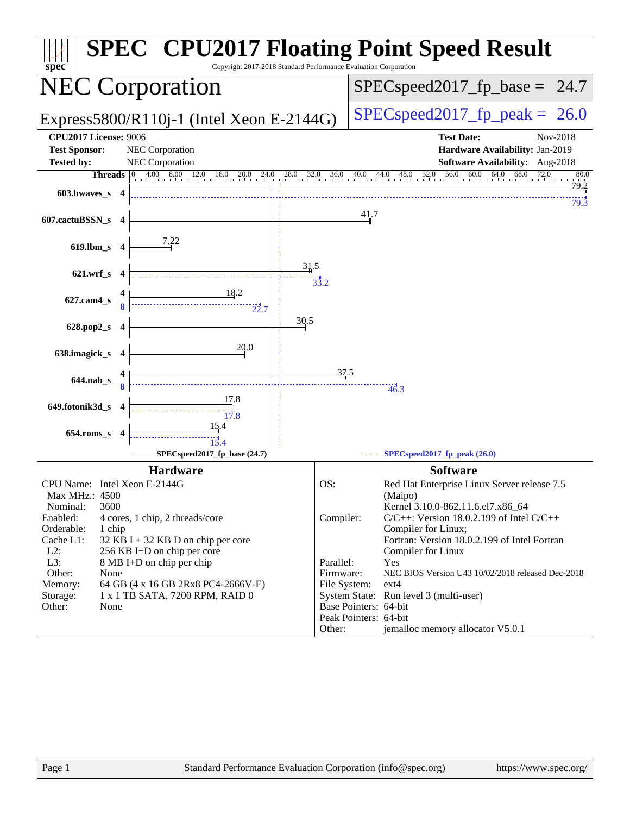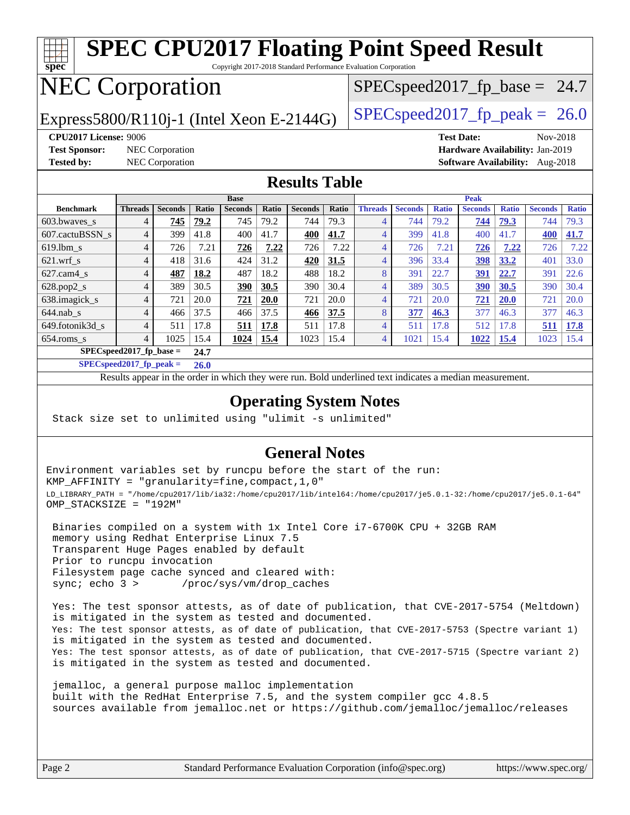#### **[spec](http://www.spec.org/) [SPEC CPU2017 Floating Point Speed Result](http://www.spec.org/auto/cpu2017/Docs/result-fields.html#SPECCPU2017FloatingPointSpeedResult)** Copyright 2017-2018 Standard Performance Evaluation Corporation NEC Corporation Express5800/R110j-1 (Intel Xeon E-2144G)  $\left|$  [SPECspeed2017\\_fp\\_peak =](http://www.spec.org/auto/cpu2017/Docs/result-fields.html#SPECspeed2017fppeak) 26.0  $SPECspeed2017_fp\_base = 24.7$ **[CPU2017 License:](http://www.spec.org/auto/cpu2017/Docs/result-fields.html#CPU2017License)** 9006 **[Test Date:](http://www.spec.org/auto/cpu2017/Docs/result-fields.html#TestDate)** Nov-2018 **[Test Sponsor:](http://www.spec.org/auto/cpu2017/Docs/result-fields.html#TestSponsor)** NEC Corporation **[Hardware Availability:](http://www.spec.org/auto/cpu2017/Docs/result-fields.html#HardwareAvailability)** Jan-2019 **[Tested by:](http://www.spec.org/auto/cpu2017/Docs/result-fields.html#Testedby)** NEC Corporation **[Software Availability:](http://www.spec.org/auto/cpu2017/Docs/result-fields.html#SoftwareAvailability)** Aug-2018 **[Results Table](http://www.spec.org/auto/cpu2017/Docs/result-fields.html#ResultsTable) [Benchmark](http://www.spec.org/auto/cpu2017/Docs/result-fields.html#Benchmark) [Threads](http://www.spec.org/auto/cpu2017/Docs/result-fields.html#Threads) [Seconds](http://www.spec.org/auto/cpu2017/Docs/result-fields.html#Seconds) [Ratio](http://www.spec.org/auto/cpu2017/Docs/result-fields.html#Ratio) [Seconds](http://www.spec.org/auto/cpu2017/Docs/result-fields.html#Seconds) [Ratio](http://www.spec.org/auto/cpu2017/Docs/result-fields.html#Ratio) [Seconds](http://www.spec.org/auto/cpu2017/Docs/result-fields.html#Seconds) [Ratio](http://www.spec.org/auto/cpu2017/Docs/result-fields.html#Ratio) Base [Threads](http://www.spec.org/auto/cpu2017/Docs/result-fields.html#Threads) [Seconds](http://www.spec.org/auto/cpu2017/Docs/result-fields.html#Seconds) [Ratio](http://www.spec.org/auto/cpu2017/Docs/result-fields.html#Ratio) [Seconds](http://www.spec.org/auto/cpu2017/Docs/result-fields.html#Seconds) [Ratio](http://www.spec.org/auto/cpu2017/Docs/result-fields.html#Ratio) [Seconds](http://www.spec.org/auto/cpu2017/Docs/result-fields.html#Seconds) [Ratio](http://www.spec.org/auto/cpu2017/Docs/result-fields.html#Ratio) Peak** [603.bwaves\\_s](http://www.spec.org/auto/cpu2017/Docs/benchmarks/603.bwaves_s.html) 4 **[745](http://www.spec.org/auto/cpu2017/Docs/result-fields.html#Median) [79.2](http://www.spec.org/auto/cpu2017/Docs/result-fields.html#Median)** 745 79.2 744 79.3 4 744 79.2 **[744](http://www.spec.org/auto/cpu2017/Docs/result-fields.html#Median) [79.3](http://www.spec.org/auto/cpu2017/Docs/result-fields.html#Median)** 744 79.3 [607.cactuBSSN\\_s](http://www.spec.org/auto/cpu2017/Docs/benchmarks/607.cactuBSSN_s.html) 4 399 41.8 400 41.7 **[400](http://www.spec.org/auto/cpu2017/Docs/result-fields.html#Median) [41.7](http://www.spec.org/auto/cpu2017/Docs/result-fields.html#Median)** 4 399 41.8 400 41.7 **[400](http://www.spec.org/auto/cpu2017/Docs/result-fields.html#Median) [41.7](http://www.spec.org/auto/cpu2017/Docs/result-fields.html#Median)** [619.lbm\\_s](http://www.spec.org/auto/cpu2017/Docs/benchmarks/619.lbm_s.html) 4 726 7.21 **[726](http://www.spec.org/auto/cpu2017/Docs/result-fields.html#Median) [7.22](http://www.spec.org/auto/cpu2017/Docs/result-fields.html#Median)** 726 7.22 4 726 7.21 **[726](http://www.spec.org/auto/cpu2017/Docs/result-fields.html#Median) [7.22](http://www.spec.org/auto/cpu2017/Docs/result-fields.html#Median)** 726 7.22 [621.wrf\\_s](http://www.spec.org/auto/cpu2017/Docs/benchmarks/621.wrf_s.html) 4 418 31.6 424 31.2 **[420](http://www.spec.org/auto/cpu2017/Docs/result-fields.html#Median) [31.5](http://www.spec.org/auto/cpu2017/Docs/result-fields.html#Median)** 4 396 33.4 **[398](http://www.spec.org/auto/cpu2017/Docs/result-fields.html#Median) [33.2](http://www.spec.org/auto/cpu2017/Docs/result-fields.html#Median)** 401 33.0 [627.cam4\\_s](http://www.spec.org/auto/cpu2017/Docs/benchmarks/627.cam4_s.html) 4 **[487](http://www.spec.org/auto/cpu2017/Docs/result-fields.html#Median) [18.2](http://www.spec.org/auto/cpu2017/Docs/result-fields.html#Median)** 487 18.2 488 18.2 8 391 22.7 **[391](http://www.spec.org/auto/cpu2017/Docs/result-fields.html#Median) [22.7](http://www.spec.org/auto/cpu2017/Docs/result-fields.html#Median)** 391 22.6 [628.pop2\\_s](http://www.spec.org/auto/cpu2017/Docs/benchmarks/628.pop2_s.html) 4 389 30.5 **[390](http://www.spec.org/auto/cpu2017/Docs/result-fields.html#Median) [30.5](http://www.spec.org/auto/cpu2017/Docs/result-fields.html#Median)** 390 30.4 4 389 30.5 **[390](http://www.spec.org/auto/cpu2017/Docs/result-fields.html#Median) [30.5](http://www.spec.org/auto/cpu2017/Docs/result-fields.html#Median)** 390 30.4 [638.imagick\\_s](http://www.spec.org/auto/cpu2017/Docs/benchmarks/638.imagick_s.html) 4 721 20.0 **[721](http://www.spec.org/auto/cpu2017/Docs/result-fields.html#Median) [20.0](http://www.spec.org/auto/cpu2017/Docs/result-fields.html#Median)** 721 20.0 4 721 20.0 **[721](http://www.spec.org/auto/cpu2017/Docs/result-fields.html#Median) [20.0](http://www.spec.org/auto/cpu2017/Docs/result-fields.html#Median)** 721 20.0 [644.nab\\_s](http://www.spec.org/auto/cpu2017/Docs/benchmarks/644.nab_s.html) 4 466 37.5 466 37.5 **[466](http://www.spec.org/auto/cpu2017/Docs/result-fields.html#Median) [37.5](http://www.spec.org/auto/cpu2017/Docs/result-fields.html#Median)** 8 **[377](http://www.spec.org/auto/cpu2017/Docs/result-fields.html#Median) [46.3](http://www.spec.org/auto/cpu2017/Docs/result-fields.html#Median)** 377 46.3 377 46.3 [649.fotonik3d\\_s](http://www.spec.org/auto/cpu2017/Docs/benchmarks/649.fotonik3d_s.html) 4 511 17.8 **[511](http://www.spec.org/auto/cpu2017/Docs/result-fields.html#Median) [17.8](http://www.spec.org/auto/cpu2017/Docs/result-fields.html#Median)** 511 17.8 4 511 17.8 512 17.8 **[511](http://www.spec.org/auto/cpu2017/Docs/result-fields.html#Median) [17.8](http://www.spec.org/auto/cpu2017/Docs/result-fields.html#Median)** [654.roms\\_s](http://www.spec.org/auto/cpu2017/Docs/benchmarks/654.roms_s.html) 4 1025 15.4 **[1024](http://www.spec.org/auto/cpu2017/Docs/result-fields.html#Median) [15.4](http://www.spec.org/auto/cpu2017/Docs/result-fields.html#Median)** 1023 15.4 4 1021 15.4 **[1022](http://www.spec.org/auto/cpu2017/Docs/result-fields.html#Median) [15.4](http://www.spec.org/auto/cpu2017/Docs/result-fields.html#Median)** 1023 15.4 **[SPECspeed2017\\_fp\\_base =](http://www.spec.org/auto/cpu2017/Docs/result-fields.html#SPECspeed2017fpbase) 24.7**

**[SPECspeed2017\\_fp\\_peak =](http://www.spec.org/auto/cpu2017/Docs/result-fields.html#SPECspeed2017fppeak) 26.0**

Results appear in the [order in which they were run.](http://www.spec.org/auto/cpu2017/Docs/result-fields.html#RunOrder) Bold underlined text [indicates a median measurement](http://www.spec.org/auto/cpu2017/Docs/result-fields.html#Median).

### **[Operating System Notes](http://www.spec.org/auto/cpu2017/Docs/result-fields.html#OperatingSystemNotes)**

Stack size set to unlimited using "ulimit -s unlimited"

### **[General Notes](http://www.spec.org/auto/cpu2017/Docs/result-fields.html#GeneralNotes)**

Environment variables set by runcpu before the start of the run: KMP\_AFFINITY = "granularity=fine,compact,1,0" LD\_LIBRARY\_PATH = "/home/cpu2017/lib/ia32:/home/cpu2017/lib/intel64:/home/cpu2017/je5.0.1-32:/home/cpu2017/je5.0.1-64" OMP\_STACKSIZE = "192M"

 Binaries compiled on a system with 1x Intel Core i7-6700K CPU + 32GB RAM memory using Redhat Enterprise Linux 7.5 Transparent Huge Pages enabled by default Prior to runcpu invocation Filesystem page cache synced and cleared with: sync; echo 3 > /proc/sys/vm/drop\_caches

 Yes: The test sponsor attests, as of date of publication, that CVE-2017-5754 (Meltdown) is mitigated in the system as tested and documented. Yes: The test sponsor attests, as of date of publication, that CVE-2017-5753 (Spectre variant 1) is mitigated in the system as tested and documented. Yes: The test sponsor attests, as of date of publication, that CVE-2017-5715 (Spectre variant 2) is mitigated in the system as tested and documented.

 jemalloc, a general purpose malloc implementation built with the RedHat Enterprise 7.5, and the system compiler gcc 4.8.5 sources available from jemalloc.net or <https://github.com/jemalloc/jemalloc/releases>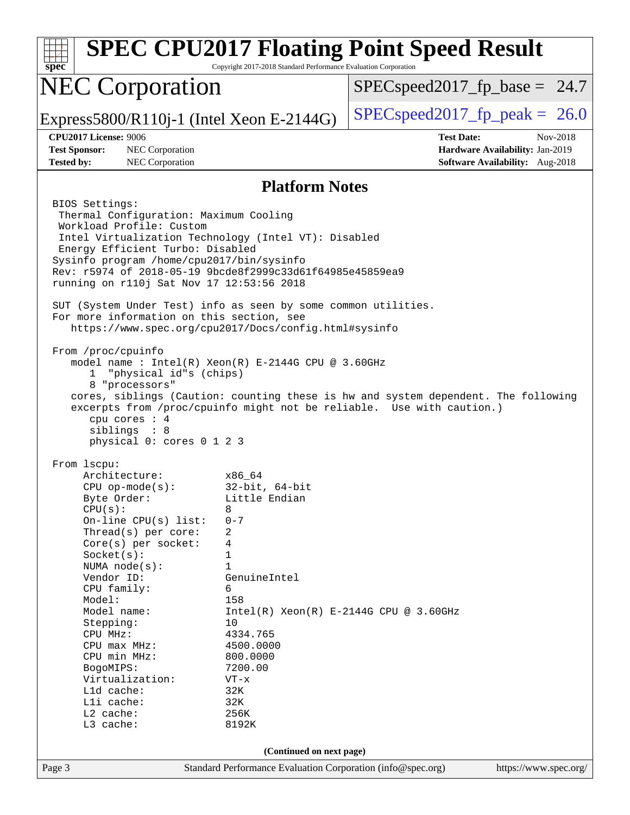| spec                                                                                                                                                                                                                                                                                                                                                                                                                                                                                                                                                                                                                                                                                                                                                                                                                                                                                                                                                                                                                                                                                                                                                                                                                                                                                    | Copyright 2017-2018 Standard Performance Evaluation Corporation                                                                                                                                                                                              | <b>SPEC CPU2017 Floating Point Speed Result</b> |                                                                                       |
|-----------------------------------------------------------------------------------------------------------------------------------------------------------------------------------------------------------------------------------------------------------------------------------------------------------------------------------------------------------------------------------------------------------------------------------------------------------------------------------------------------------------------------------------------------------------------------------------------------------------------------------------------------------------------------------------------------------------------------------------------------------------------------------------------------------------------------------------------------------------------------------------------------------------------------------------------------------------------------------------------------------------------------------------------------------------------------------------------------------------------------------------------------------------------------------------------------------------------------------------------------------------------------------------|--------------------------------------------------------------------------------------------------------------------------------------------------------------------------------------------------------------------------------------------------------------|-------------------------------------------------|---------------------------------------------------------------------------------------|
| <b>NEC Corporation</b>                                                                                                                                                                                                                                                                                                                                                                                                                                                                                                                                                                                                                                                                                                                                                                                                                                                                                                                                                                                                                                                                                                                                                                                                                                                                  |                                                                                                                                                                                                                                                              | $SPEC speed2017_f p\_base = 24.7$               |                                                                                       |
| Express5800/R110j-1 (Intel Xeon E-2144G)                                                                                                                                                                                                                                                                                                                                                                                                                                                                                                                                                                                                                                                                                                                                                                                                                                                                                                                                                                                                                                                                                                                                                                                                                                                |                                                                                                                                                                                                                                                              | $SPEC speed2017_fp\_peak = 26.0$                |                                                                                       |
| <b>CPU2017 License: 9006</b><br><b>Test Sponsor:</b><br><b>NEC</b> Corporation<br><b>Tested by:</b><br>NEC Corporation                                                                                                                                                                                                                                                                                                                                                                                                                                                                                                                                                                                                                                                                                                                                                                                                                                                                                                                                                                                                                                                                                                                                                                  |                                                                                                                                                                                                                                                              | <b>Test Date:</b>                               | Nov-2018<br>Hardware Availability: Jan-2019<br><b>Software Availability:</b> Aug-2018 |
|                                                                                                                                                                                                                                                                                                                                                                                                                                                                                                                                                                                                                                                                                                                                                                                                                                                                                                                                                                                                                                                                                                                                                                                                                                                                                         | <b>Platform Notes</b>                                                                                                                                                                                                                                        |                                                 |                                                                                       |
| BIOS Settings:<br>Thermal Configuration: Maximum Cooling<br>Workload Profile: Custom<br>Intel Virtualization Technology (Intel VT): Disabled<br>Energy Efficient Turbo: Disabled<br>Sysinfo program /home/cpu2017/bin/sysinfo<br>Rev: r5974 of 2018-05-19 9bcde8f2999c33d61f64985e45859ea9<br>running on r110j Sat Nov 17 12:53:56 2018<br>SUT (System Under Test) info as seen by some common utilities.<br>For more information on this section, see<br>https://www.spec.org/cpu2017/Docs/config.html#sysinfo<br>From /proc/cpuinfo<br>model name : Intel(R) Xeon(R) E-2144G CPU @ 3.60GHz<br>"physical id"s (chips)<br>$\mathbf{1}$<br>8 "processors"<br>cores, siblings (Caution: counting these is hw and system dependent. The following<br>excerpts from /proc/cpuinfo might not be reliable. Use with caution.)<br>cpu cores : 4<br>siblings : 8<br>physical 0: cores 0 1 2 3<br>From 1scpu:<br>Architecture:<br>$CPU$ op-mode( $s$ ):<br>Byte Order:<br>CPU(s):<br>On-line $CPU(s)$ list:<br>Thread(s) per core:<br>Core(s) per socket:<br>Socket(s):<br>NUMA $node(s)$ :<br>Vendor ID:<br>CPU family:<br>Model:<br>Model name:<br>Stepping:<br>CPU MHz:<br>CPU max MHz:<br>CPU min MHz:<br>BogoMIPS:<br>Virtualization:<br>L1d cache:<br>Lli cache:<br>L2 cache:<br>L3 cache: | x86 64<br>$32$ -bit, $64$ -bit<br>Little Endian<br>8<br>$0 - 7$<br>2<br>4<br>1<br>1<br>GenuineIntel<br>6<br>158<br>$Intel(R) Xeon(R) E-2144G CPU @ 3.60GHz$<br>10<br>4334.765<br>4500.0000<br>800.0000<br>7200.00<br>$VT - x$<br>32K<br>32K<br>256K<br>8192K |                                                 |                                                                                       |
| (Continued on next page)<br>Standard Performance Evaluation Corporation (info@spec.org)                                                                                                                                                                                                                                                                                                                                                                                                                                                                                                                                                                                                                                                                                                                                                                                                                                                                                                                                                                                                                                                                                                                                                                                                 |                                                                                                                                                                                                                                                              |                                                 |                                                                                       |
| Page 3                                                                                                                                                                                                                                                                                                                                                                                                                                                                                                                                                                                                                                                                                                                                                                                                                                                                                                                                                                                                                                                                                                                                                                                                                                                                                  |                                                                                                                                                                                                                                                              |                                                 | https://www.spec.org/                                                                 |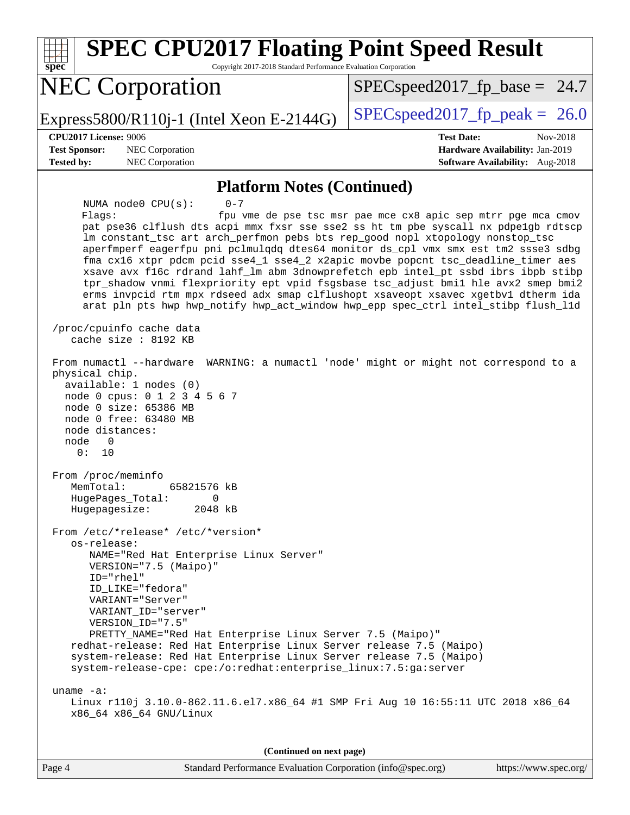| <b>SPEC CPU2017 Floating Point Speed Result</b><br>Copyright 2017-2018 Standard Performance Evaluation Corporation<br>Spec                                                                                                                                                                                                                                                                                                                                                                                                                                                                                                                                                                                                                                                                                                                                                                                                                                                                                                                                                                                         |                                                                                                                               |  |  |  |
|--------------------------------------------------------------------------------------------------------------------------------------------------------------------------------------------------------------------------------------------------------------------------------------------------------------------------------------------------------------------------------------------------------------------------------------------------------------------------------------------------------------------------------------------------------------------------------------------------------------------------------------------------------------------------------------------------------------------------------------------------------------------------------------------------------------------------------------------------------------------------------------------------------------------------------------------------------------------------------------------------------------------------------------------------------------------------------------------------------------------|-------------------------------------------------------------------------------------------------------------------------------|--|--|--|
| <b>NEC Corporation</b>                                                                                                                                                                                                                                                                                                                                                                                                                                                                                                                                                                                                                                                                                                                                                                                                                                                                                                                                                                                                                                                                                             | $SPEC speed2017_f p\_base = 24.7$                                                                                             |  |  |  |
| Express5800/R110j-1 (Intel Xeon E-2144G)                                                                                                                                                                                                                                                                                                                                                                                                                                                                                                                                                                                                                                                                                                                                                                                                                                                                                                                                                                                                                                                                           | $SPEC speed2017fr peak = 26.0$                                                                                                |  |  |  |
| CPU2017 License: 9006<br><b>Test Sponsor:</b><br>NEC Corporation<br><b>Tested by:</b><br>NEC Corporation                                                                                                                                                                                                                                                                                                                                                                                                                                                                                                                                                                                                                                                                                                                                                                                                                                                                                                                                                                                                           | <b>Test Date:</b><br>Nov-2018<br>Hardware Availability: Jan-2019<br><b>Software Availability:</b> Aug-2018                    |  |  |  |
| <b>Platform Notes (Continued)</b>                                                                                                                                                                                                                                                                                                                                                                                                                                                                                                                                                                                                                                                                                                                                                                                                                                                                                                                                                                                                                                                                                  |                                                                                                                               |  |  |  |
| $0 - 7$<br>NUMA $node0$ $CPU(s)$ :<br>Flaqs:<br>pat pse36 clflush dts acpi mmx fxsr sse sse2 ss ht tm pbe syscall nx pdpelgb rdtscp<br>lm constant_tsc art arch_perfmon pebs bts rep_good nopl xtopology nonstop_tsc<br>aperfmperf eagerfpu pni pclmulqdq dtes64 monitor ds_cpl vmx smx est tm2 ssse3 sdbg<br>fma cx16 xtpr pdcm pcid sse4_1 sse4_2 x2apic movbe popcnt tsc_deadline_timer aes<br>xsave avx f16c rdrand lahf_lm abm 3dnowprefetch epb intel_pt ssbd ibrs ibpb stibp<br>tpr_shadow vnmi flexpriority ept vpid fsgsbase tsc_adjust bmil hle avx2 smep bmi2<br>erms invpcid rtm mpx rdseed adx smap clflushopt xsaveopt xsavec xgetbvl dtherm ida<br>arat pln pts hwp hwp_notify hwp_act_window hwp_epp spec_ctrl intel_stibp flush_lld<br>/proc/cpuinfo cache data<br>cache size : 8192 KB<br>From numactl --hardware<br>physical chip.<br>available: 1 nodes (0)<br>node 0 cpus: 0 1 2 3 4 5 6 7<br>node 0 size: 65386 MB<br>node 0 free: 63480 MB<br>node distances:<br>node<br>0<br>0 :<br>10<br>From /proc/meminfo<br>65821576 kB<br>MemTotal:<br>HugePages_Total: 0<br>Hugepagesize:<br>2048 kB | fpu vme de pse tsc msr pae mce cx8 apic sep mtrr pge mca cmov<br>WARNING: a numactl 'node' might or might not correspond to a |  |  |  |
| From /etc/*release* /etc/*version*<br>os-release:<br>NAME="Red Hat Enterprise Linux Server"<br>VERSION="7.5 (Maipo)"<br>$ID="rhe1"$<br>ID_LIKE="fedora"<br>VARIANT="Server"<br>VARIANT_ID="server"<br>VERSION ID="7.5"<br>PRETTY_NAME="Red Hat Enterprise Linux Server 7.5 (Maipo)"<br>redhat-release: Red Hat Enterprise Linux Server release 7.5 (Maipo)<br>system-release: Red Hat Enterprise Linux Server release 7.5 (Maipo)<br>system-release-cpe: cpe:/o:redhat:enterprise_linux:7.5:ga:server<br>uname $-a$ :<br>Linux r110j 3.10.0-862.11.6.el7.x86_64 #1 SMP Fri Aug 10 16:55:11 UTC 2018 x86_64<br>x86_64 x86_64 GNU/Linux<br>(Continued on next page)                                                                                                                                                                                                                                                                                                                                                                                                                                                  |                                                                                                                               |  |  |  |
|                                                                                                                                                                                                                                                                                                                                                                                                                                                                                                                                                                                                                                                                                                                                                                                                                                                                                                                                                                                                                                                                                                                    |                                                                                                                               |  |  |  |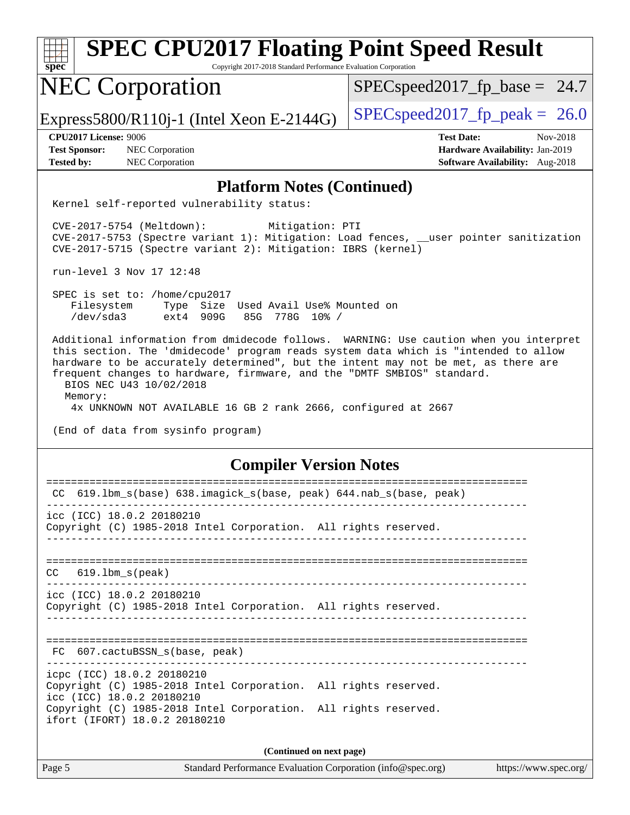| <b>SPEC CPU2017 Floating Point Speed Result</b><br>spec<br>Copyright 2017-2018 Standard Performance Evaluation Corporation                                                                                                                                                                                                                                                                                                                                                                   |                                                                                                     |  |  |
|----------------------------------------------------------------------------------------------------------------------------------------------------------------------------------------------------------------------------------------------------------------------------------------------------------------------------------------------------------------------------------------------------------------------------------------------------------------------------------------------|-----------------------------------------------------------------------------------------------------|--|--|
| <b>NEC Corporation</b>                                                                                                                                                                                                                                                                                                                                                                                                                                                                       | $SPEC speed2017_f p\_base = 24.7$                                                                   |  |  |
| Express5800/R110j-1 (Intel Xeon E-2144G)                                                                                                                                                                                                                                                                                                                                                                                                                                                     | $SPEC speed2017fp peak = 26.0$                                                                      |  |  |
| <b>CPU2017 License: 9006</b><br><b>Test Sponsor:</b><br><b>NEC</b> Corporation<br><b>Tested by:</b><br>NEC Corporation                                                                                                                                                                                                                                                                                                                                                                       | <b>Test Date:</b><br>Nov-2018<br>Hardware Availability: Jan-2019<br>Software Availability: Aug-2018 |  |  |
|                                                                                                                                                                                                                                                                                                                                                                                                                                                                                              |                                                                                                     |  |  |
| <b>Platform Notes (Continued)</b><br>Kernel self-reported vulnerability status:                                                                                                                                                                                                                                                                                                                                                                                                              |                                                                                                     |  |  |
| CVE-2017-5754 (Meltdown):<br>Mitigation: PTI<br>CVE-2017-5753 (Spectre variant 1): Mitigation: Load fences, __user pointer sanitization<br>CVE-2017-5715 (Spectre variant 2): Mitigation: IBRS (kernel)                                                                                                                                                                                                                                                                                      |                                                                                                     |  |  |
| run-level 3 Nov 17 12:48                                                                                                                                                                                                                                                                                                                                                                                                                                                                     |                                                                                                     |  |  |
| SPEC is set to: /home/cpu2017<br>Filesystem<br>Type Size Used Avail Use% Mounted on<br>/dev/sda3<br>$ext4$ 909G<br>85G 778G 10% /                                                                                                                                                                                                                                                                                                                                                            |                                                                                                     |  |  |
| Additional information from dmidecode follows. WARNING: Use caution when you interpret<br>this section. The 'dmidecode' program reads system data which is "intended to allow<br>hardware to be accurately determined", but the intent may not be met, as there are<br>frequent changes to hardware, firmware, and the "DMTF SMBIOS" standard.<br>BIOS NEC U43 10/02/2018<br>Memory:<br>4x UNKNOWN NOT AVAILABLE 16 GB 2 rank 2666, configured at 2667<br>(End of data from sysinfo program) |                                                                                                     |  |  |
| <b>Compiler Version Notes</b>                                                                                                                                                                                                                                                                                                                                                                                                                                                                |                                                                                                     |  |  |
| CC 619.1bm_s(base) 638.imagick_s(base, peak) 644.nab_s(base, peak)                                                                                                                                                                                                                                                                                                                                                                                                                           |                                                                                                     |  |  |
| icc (ICC) 18.0.2 20180210<br>Copyright (C) 1985-2018 Intel Corporation. All rights reserved.                                                                                                                                                                                                                                                                                                                                                                                                 |                                                                                                     |  |  |
| $CC$ 619.1bm_s(peak)                                                                                                                                                                                                                                                                                                                                                                                                                                                                         |                                                                                                     |  |  |
| icc (ICC) 18.0.2 20180210<br>Copyright (C) 1985-2018 Intel Corporation. All rights reserved.                                                                                                                                                                                                                                                                                                                                                                                                 |                                                                                                     |  |  |
| FC 607.cactuBSSN_s(base, peak)                                                                                                                                                                                                                                                                                                                                                                                                                                                               |                                                                                                     |  |  |
| icpc (ICC) 18.0.2 20180210<br>Copyright (C) 1985-2018 Intel Corporation. All rights reserved.<br>icc (ICC) 18.0.2 20180210<br>Copyright (C) 1985-2018 Intel Corporation. All rights reserved.<br>ifort (IFORT) 18.0.2 20180210                                                                                                                                                                                                                                                               |                                                                                                     |  |  |
| (Continued on next page)                                                                                                                                                                                                                                                                                                                                                                                                                                                                     |                                                                                                     |  |  |
| Page 5<br>Standard Performance Evaluation Corporation (info@spec.org)                                                                                                                                                                                                                                                                                                                                                                                                                        | https://www.spec.org/                                                                               |  |  |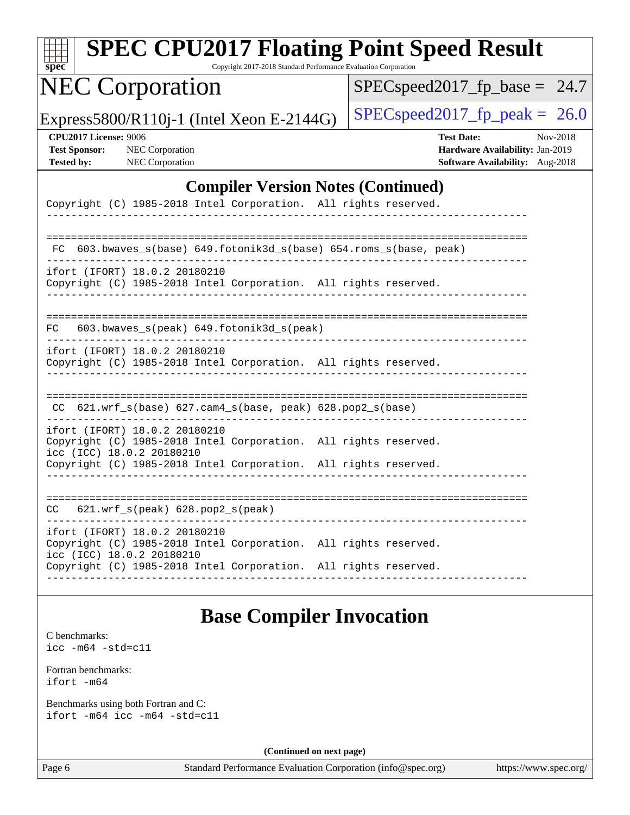| <b>SPEC CPU2017 Floating Point Speed Result</b><br>Copyright 2017-2018 Standard Performance Evaluation Corporation<br>$spec^*$ |                                                                                                     |
|--------------------------------------------------------------------------------------------------------------------------------|-----------------------------------------------------------------------------------------------------|
| <b>NEC Corporation</b>                                                                                                         | $SPEC speed2017_fp\_base = 24.7$                                                                    |
| Express5800/R110j-1 (Intel Xeon E-2144G)                                                                                       | $SPEC speed2017_fp\_peak = 26.0$                                                                    |
| <b>CPU2017 License: 9006</b><br>NEC Corporation<br><b>Test Sponsor:</b><br>NEC Corporation<br><b>Tested by:</b>                | <b>Test Date:</b><br>Nov-2018<br>Hardware Availability: Jan-2019<br>Software Availability: Aug-2018 |
| <b>Compiler Version Notes (Continued)</b>                                                                                      |                                                                                                     |
| Copyright (C) 1985-2018 Intel Corporation. All rights reserved.                                                                |                                                                                                     |
|                                                                                                                                |                                                                                                     |
| 603.bwaves_s(base) 649.fotonik3d_s(base) 654.roms_s(base, peak)<br>FC                                                          |                                                                                                     |
| ifort (IFORT) 18.0.2 20180210<br>Copyright (C) 1985-2018 Intel Corporation. All rights reserved.                               |                                                                                                     |
| 603.bwaves_s(peak) 649.fotonik3d_s(peak)<br>FC                                                                                 |                                                                                                     |
| ifort (IFORT) 18.0.2 20180210<br>Copyright (C) 1985-2018 Intel Corporation. All rights reserved.                               |                                                                                                     |
| 621.wrf_s(base) 627.cam4_s(base, peak) 628.pop2_s(base)                                                                        |                                                                                                     |
| ifort (IFORT) 18.0.2 20180210<br>Copyright (C) 1985-2018 Intel Corporation. All rights reserved.<br>icc (ICC) 18.0.2 20180210  |                                                                                                     |
| Copyright (C) 1985-2018 Intel Corporation. All rights reserved.                                                                |                                                                                                     |
| 621.wrf_s(peak) 628.pop2_s(peak)<br>CC.                                                                                        |                                                                                                     |
| ifort (IFORT) 18.0.2 20180210<br>Copyright (C) 1985-2018 Intel Corporation. All rights reserved.<br>icc (ICC) 18.0.2 20180210  |                                                                                                     |
| Copyright (C) 1985-2018 Intel Corporation. All rights reserved.                                                                |                                                                                                     |

## **[Base Compiler Invocation](http://www.spec.org/auto/cpu2017/Docs/result-fields.html#BaseCompilerInvocation)**

[C benchmarks](http://www.spec.org/auto/cpu2017/Docs/result-fields.html#Cbenchmarks): [icc -m64 -std=c11](http://www.spec.org/cpu2017/results/res2018q4/cpu2017-20181210-10060.flags.html#user_CCbase_intel_icc_64bit_c11_33ee0cdaae7deeeab2a9725423ba97205ce30f63b9926c2519791662299b76a0318f32ddfffdc46587804de3178b4f9328c46fa7c2b0cd779d7a61945c91cd35)

[Fortran benchmarks](http://www.spec.org/auto/cpu2017/Docs/result-fields.html#Fortranbenchmarks): [ifort -m64](http://www.spec.org/cpu2017/results/res2018q4/cpu2017-20181210-10060.flags.html#user_FCbase_intel_ifort_64bit_24f2bb282fbaeffd6157abe4f878425411749daecae9a33200eee2bee2fe76f3b89351d69a8130dd5949958ce389cf37ff59a95e7a40d588e8d3a57e0c3fd751)

[Benchmarks using both Fortran and C](http://www.spec.org/auto/cpu2017/Docs/result-fields.html#BenchmarksusingbothFortranandC): [ifort -m64](http://www.spec.org/cpu2017/results/res2018q4/cpu2017-20181210-10060.flags.html#user_CC_FCbase_intel_ifort_64bit_24f2bb282fbaeffd6157abe4f878425411749daecae9a33200eee2bee2fe76f3b89351d69a8130dd5949958ce389cf37ff59a95e7a40d588e8d3a57e0c3fd751) [icc -m64 -std=c11](http://www.spec.org/cpu2017/results/res2018q4/cpu2017-20181210-10060.flags.html#user_CC_FCbase_intel_icc_64bit_c11_33ee0cdaae7deeeab2a9725423ba97205ce30f63b9926c2519791662299b76a0318f32ddfffdc46587804de3178b4f9328c46fa7c2b0cd779d7a61945c91cd35)

**(Continued on next page)**

Page 6 Standard Performance Evaluation Corporation [\(info@spec.org\)](mailto:info@spec.org) <https://www.spec.org/>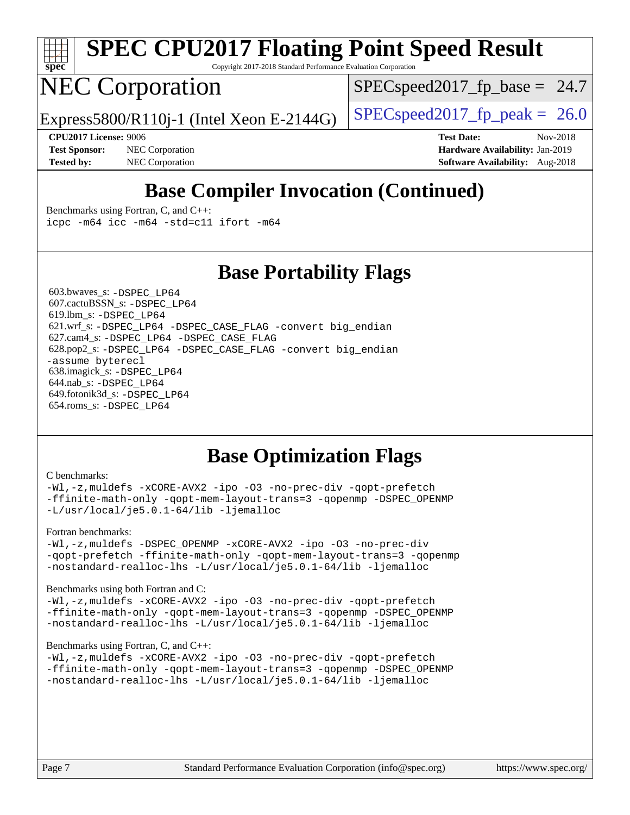

# **[SPEC CPU2017 Floating Point Speed Result](http://www.spec.org/auto/cpu2017/Docs/result-fields.html#SPECCPU2017FloatingPointSpeedResult)**

Copyright 2017-2018 Standard Performance Evaluation Corporation

## NEC Corporation

 $SPECspeed2017<sub>fp</sub> base = 24.7$ 

Express5800/R110j-1 (Intel Xeon E-2144G)  $\left|$  [SPECspeed2017\\_fp\\_peak =](http://www.spec.org/auto/cpu2017/Docs/result-fields.html#SPECspeed2017fppeak) 26.0

**[Test Sponsor:](http://www.spec.org/auto/cpu2017/Docs/result-fields.html#TestSponsor)** NEC Corporation **[Hardware Availability:](http://www.spec.org/auto/cpu2017/Docs/result-fields.html#HardwareAvailability)** Jan-2019 **[Tested by:](http://www.spec.org/auto/cpu2017/Docs/result-fields.html#Testedby)** NEC Corporation **[Software Availability:](http://www.spec.org/auto/cpu2017/Docs/result-fields.html#SoftwareAvailability)** Aug-2018

**[CPU2017 License:](http://www.spec.org/auto/cpu2017/Docs/result-fields.html#CPU2017License)** 9006 **[Test Date:](http://www.spec.org/auto/cpu2017/Docs/result-fields.html#TestDate)** Nov-2018

## **[Base Compiler Invocation \(Continued\)](http://www.spec.org/auto/cpu2017/Docs/result-fields.html#BaseCompilerInvocation)**

[Benchmarks using Fortran, C, and C++:](http://www.spec.org/auto/cpu2017/Docs/result-fields.html#BenchmarksusingFortranCandCXX) [icpc -m64](http://www.spec.org/cpu2017/results/res2018q4/cpu2017-20181210-10060.flags.html#user_CC_CXX_FCbase_intel_icpc_64bit_4ecb2543ae3f1412ef961e0650ca070fec7b7afdcd6ed48761b84423119d1bf6bdf5cad15b44d48e7256388bc77273b966e5eb805aefd121eb22e9299b2ec9d9) [icc -m64 -std=c11](http://www.spec.org/cpu2017/results/res2018q4/cpu2017-20181210-10060.flags.html#user_CC_CXX_FCbase_intel_icc_64bit_c11_33ee0cdaae7deeeab2a9725423ba97205ce30f63b9926c2519791662299b76a0318f32ddfffdc46587804de3178b4f9328c46fa7c2b0cd779d7a61945c91cd35) [ifort -m64](http://www.spec.org/cpu2017/results/res2018q4/cpu2017-20181210-10060.flags.html#user_CC_CXX_FCbase_intel_ifort_64bit_24f2bb282fbaeffd6157abe4f878425411749daecae9a33200eee2bee2fe76f3b89351d69a8130dd5949958ce389cf37ff59a95e7a40d588e8d3a57e0c3fd751)

## **[Base Portability Flags](http://www.spec.org/auto/cpu2017/Docs/result-fields.html#BasePortabilityFlags)**

 603.bwaves\_s: [-DSPEC\\_LP64](http://www.spec.org/cpu2017/results/res2018q4/cpu2017-20181210-10060.flags.html#suite_basePORTABILITY603_bwaves_s_DSPEC_LP64) 607.cactuBSSN\_s: [-DSPEC\\_LP64](http://www.spec.org/cpu2017/results/res2018q4/cpu2017-20181210-10060.flags.html#suite_basePORTABILITY607_cactuBSSN_s_DSPEC_LP64) 619.lbm\_s: [-DSPEC\\_LP64](http://www.spec.org/cpu2017/results/res2018q4/cpu2017-20181210-10060.flags.html#suite_basePORTABILITY619_lbm_s_DSPEC_LP64) 621.wrf\_s: [-DSPEC\\_LP64](http://www.spec.org/cpu2017/results/res2018q4/cpu2017-20181210-10060.flags.html#suite_basePORTABILITY621_wrf_s_DSPEC_LP64) [-DSPEC\\_CASE\\_FLAG](http://www.spec.org/cpu2017/results/res2018q4/cpu2017-20181210-10060.flags.html#b621.wrf_s_baseCPORTABILITY_DSPEC_CASE_FLAG) [-convert big\\_endian](http://www.spec.org/cpu2017/results/res2018q4/cpu2017-20181210-10060.flags.html#user_baseFPORTABILITY621_wrf_s_convert_big_endian_c3194028bc08c63ac5d04de18c48ce6d347e4e562e8892b8bdbdc0214820426deb8554edfa529a3fb25a586e65a3d812c835984020483e7e73212c4d31a38223) 627.cam4\_s: [-DSPEC\\_LP64](http://www.spec.org/cpu2017/results/res2018q4/cpu2017-20181210-10060.flags.html#suite_basePORTABILITY627_cam4_s_DSPEC_LP64) [-DSPEC\\_CASE\\_FLAG](http://www.spec.org/cpu2017/results/res2018q4/cpu2017-20181210-10060.flags.html#b627.cam4_s_baseCPORTABILITY_DSPEC_CASE_FLAG) 628.pop2\_s: [-DSPEC\\_LP64](http://www.spec.org/cpu2017/results/res2018q4/cpu2017-20181210-10060.flags.html#suite_basePORTABILITY628_pop2_s_DSPEC_LP64) [-DSPEC\\_CASE\\_FLAG](http://www.spec.org/cpu2017/results/res2018q4/cpu2017-20181210-10060.flags.html#b628.pop2_s_baseCPORTABILITY_DSPEC_CASE_FLAG) [-convert big\\_endian](http://www.spec.org/cpu2017/results/res2018q4/cpu2017-20181210-10060.flags.html#user_baseFPORTABILITY628_pop2_s_convert_big_endian_c3194028bc08c63ac5d04de18c48ce6d347e4e562e8892b8bdbdc0214820426deb8554edfa529a3fb25a586e65a3d812c835984020483e7e73212c4d31a38223) [-assume byterecl](http://www.spec.org/cpu2017/results/res2018q4/cpu2017-20181210-10060.flags.html#user_baseFPORTABILITY628_pop2_s_assume_byterecl_7e47d18b9513cf18525430bbf0f2177aa9bf368bc7a059c09b2c06a34b53bd3447c950d3f8d6c70e3faf3a05c8557d66a5798b567902e8849adc142926523472) 638.imagick\_s: [-DSPEC\\_LP64](http://www.spec.org/cpu2017/results/res2018q4/cpu2017-20181210-10060.flags.html#suite_basePORTABILITY638_imagick_s_DSPEC_LP64) 644.nab\_s: [-DSPEC\\_LP64](http://www.spec.org/cpu2017/results/res2018q4/cpu2017-20181210-10060.flags.html#suite_basePORTABILITY644_nab_s_DSPEC_LP64) 649.fotonik3d\_s: [-DSPEC\\_LP64](http://www.spec.org/cpu2017/results/res2018q4/cpu2017-20181210-10060.flags.html#suite_basePORTABILITY649_fotonik3d_s_DSPEC_LP64) 654.roms\_s: [-DSPEC\\_LP64](http://www.spec.org/cpu2017/results/res2018q4/cpu2017-20181210-10060.flags.html#suite_basePORTABILITY654_roms_s_DSPEC_LP64)

## **[Base Optimization Flags](http://www.spec.org/auto/cpu2017/Docs/result-fields.html#BaseOptimizationFlags)**

#### [C benchmarks](http://www.spec.org/auto/cpu2017/Docs/result-fields.html#Cbenchmarks):

[-Wl,-z,muldefs](http://www.spec.org/cpu2017/results/res2018q4/cpu2017-20181210-10060.flags.html#user_CCbase_link_force_multiple1_b4cbdb97b34bdee9ceefcfe54f4c8ea74255f0b02a4b23e853cdb0e18eb4525ac79b5a88067c842dd0ee6996c24547a27a4b99331201badda8798ef8a743f577) [-xCORE-AVX2](http://www.spec.org/cpu2017/results/res2018q4/cpu2017-20181210-10060.flags.html#user_CCbase_f-xCORE-AVX2) [-ipo](http://www.spec.org/cpu2017/results/res2018q4/cpu2017-20181210-10060.flags.html#user_CCbase_f-ipo) [-O3](http://www.spec.org/cpu2017/results/res2018q4/cpu2017-20181210-10060.flags.html#user_CCbase_f-O3) [-no-prec-div](http://www.spec.org/cpu2017/results/res2018q4/cpu2017-20181210-10060.flags.html#user_CCbase_f-no-prec-div) [-qopt-prefetch](http://www.spec.org/cpu2017/results/res2018q4/cpu2017-20181210-10060.flags.html#user_CCbase_f-qopt-prefetch) [-ffinite-math-only](http://www.spec.org/cpu2017/results/res2018q4/cpu2017-20181210-10060.flags.html#user_CCbase_f_finite_math_only_cb91587bd2077682c4b38af759c288ed7c732db004271a9512da14a4f8007909a5f1427ecbf1a0fb78ff2a814402c6114ac565ca162485bbcae155b5e4258871) [-qopt-mem-layout-trans=3](http://www.spec.org/cpu2017/results/res2018q4/cpu2017-20181210-10060.flags.html#user_CCbase_f-qopt-mem-layout-trans_de80db37974c74b1f0e20d883f0b675c88c3b01e9d123adea9b28688d64333345fb62bc4a798493513fdb68f60282f9a726aa07f478b2f7113531aecce732043) [-qopenmp](http://www.spec.org/cpu2017/results/res2018q4/cpu2017-20181210-10060.flags.html#user_CCbase_qopenmp_16be0c44f24f464004c6784a7acb94aca937f053568ce72f94b139a11c7c168634a55f6653758ddd83bcf7b8463e8028bb0b48b77bcddc6b78d5d95bb1df2967) [-DSPEC\\_OPENMP](http://www.spec.org/cpu2017/results/res2018q4/cpu2017-20181210-10060.flags.html#suite_CCbase_DSPEC_OPENMP) [-L/usr/local/je5.0.1-64/lib](http://www.spec.org/cpu2017/results/res2018q4/cpu2017-20181210-10060.flags.html#user_CCbase_jemalloc_link_path64_4b10a636b7bce113509b17f3bd0d6226c5fb2346b9178c2d0232c14f04ab830f976640479e5c33dc2bcbbdad86ecfb6634cbbd4418746f06f368b512fced5394) [-ljemalloc](http://www.spec.org/cpu2017/results/res2018q4/cpu2017-20181210-10060.flags.html#user_CCbase_jemalloc_link_lib_d1249b907c500fa1c0672f44f562e3d0f79738ae9e3c4a9c376d49f265a04b9c99b167ecedbf6711b3085be911c67ff61f150a17b3472be731631ba4d0471706)

#### [Fortran benchmarks](http://www.spec.org/auto/cpu2017/Docs/result-fields.html#Fortranbenchmarks):

[-Wl,-z,muldefs](http://www.spec.org/cpu2017/results/res2018q4/cpu2017-20181210-10060.flags.html#user_FCbase_link_force_multiple1_b4cbdb97b34bdee9ceefcfe54f4c8ea74255f0b02a4b23e853cdb0e18eb4525ac79b5a88067c842dd0ee6996c24547a27a4b99331201badda8798ef8a743f577) [-DSPEC\\_OPENMP](http://www.spec.org/cpu2017/results/res2018q4/cpu2017-20181210-10060.flags.html#suite_FCbase_DSPEC_OPENMP) [-xCORE-AVX2](http://www.spec.org/cpu2017/results/res2018q4/cpu2017-20181210-10060.flags.html#user_FCbase_f-xCORE-AVX2) [-ipo](http://www.spec.org/cpu2017/results/res2018q4/cpu2017-20181210-10060.flags.html#user_FCbase_f-ipo) [-O3](http://www.spec.org/cpu2017/results/res2018q4/cpu2017-20181210-10060.flags.html#user_FCbase_f-O3) [-no-prec-div](http://www.spec.org/cpu2017/results/res2018q4/cpu2017-20181210-10060.flags.html#user_FCbase_f-no-prec-div) [-qopt-prefetch](http://www.spec.org/cpu2017/results/res2018q4/cpu2017-20181210-10060.flags.html#user_FCbase_f-qopt-prefetch) [-ffinite-math-only](http://www.spec.org/cpu2017/results/res2018q4/cpu2017-20181210-10060.flags.html#user_FCbase_f_finite_math_only_cb91587bd2077682c4b38af759c288ed7c732db004271a9512da14a4f8007909a5f1427ecbf1a0fb78ff2a814402c6114ac565ca162485bbcae155b5e4258871) [-qopt-mem-layout-trans=3](http://www.spec.org/cpu2017/results/res2018q4/cpu2017-20181210-10060.flags.html#user_FCbase_f-qopt-mem-layout-trans_de80db37974c74b1f0e20d883f0b675c88c3b01e9d123adea9b28688d64333345fb62bc4a798493513fdb68f60282f9a726aa07f478b2f7113531aecce732043) [-qopenmp](http://www.spec.org/cpu2017/results/res2018q4/cpu2017-20181210-10060.flags.html#user_FCbase_qopenmp_16be0c44f24f464004c6784a7acb94aca937f053568ce72f94b139a11c7c168634a55f6653758ddd83bcf7b8463e8028bb0b48b77bcddc6b78d5d95bb1df2967) [-nostandard-realloc-lhs](http://www.spec.org/cpu2017/results/res2018q4/cpu2017-20181210-10060.flags.html#user_FCbase_f_2003_std_realloc_82b4557e90729c0f113870c07e44d33d6f5a304b4f63d4c15d2d0f1fab99f5daaed73bdb9275d9ae411527f28b936061aa8b9c8f2d63842963b95c9dd6426b8a) [-L/usr/local/je5.0.1-64/lib](http://www.spec.org/cpu2017/results/res2018q4/cpu2017-20181210-10060.flags.html#user_FCbase_jemalloc_link_path64_4b10a636b7bce113509b17f3bd0d6226c5fb2346b9178c2d0232c14f04ab830f976640479e5c33dc2bcbbdad86ecfb6634cbbd4418746f06f368b512fced5394) [-ljemalloc](http://www.spec.org/cpu2017/results/res2018q4/cpu2017-20181210-10060.flags.html#user_FCbase_jemalloc_link_lib_d1249b907c500fa1c0672f44f562e3d0f79738ae9e3c4a9c376d49f265a04b9c99b167ecedbf6711b3085be911c67ff61f150a17b3472be731631ba4d0471706)

#### [Benchmarks using both Fortran and C](http://www.spec.org/auto/cpu2017/Docs/result-fields.html#BenchmarksusingbothFortranandC):

[-Wl,-z,muldefs](http://www.spec.org/cpu2017/results/res2018q4/cpu2017-20181210-10060.flags.html#user_CC_FCbase_link_force_multiple1_b4cbdb97b34bdee9ceefcfe54f4c8ea74255f0b02a4b23e853cdb0e18eb4525ac79b5a88067c842dd0ee6996c24547a27a4b99331201badda8798ef8a743f577) [-xCORE-AVX2](http://www.spec.org/cpu2017/results/res2018q4/cpu2017-20181210-10060.flags.html#user_CC_FCbase_f-xCORE-AVX2) [-ipo](http://www.spec.org/cpu2017/results/res2018q4/cpu2017-20181210-10060.flags.html#user_CC_FCbase_f-ipo) [-O3](http://www.spec.org/cpu2017/results/res2018q4/cpu2017-20181210-10060.flags.html#user_CC_FCbase_f-O3) [-no-prec-div](http://www.spec.org/cpu2017/results/res2018q4/cpu2017-20181210-10060.flags.html#user_CC_FCbase_f-no-prec-div) [-qopt-prefetch](http://www.spec.org/cpu2017/results/res2018q4/cpu2017-20181210-10060.flags.html#user_CC_FCbase_f-qopt-prefetch) [-ffinite-math-only](http://www.spec.org/cpu2017/results/res2018q4/cpu2017-20181210-10060.flags.html#user_CC_FCbase_f_finite_math_only_cb91587bd2077682c4b38af759c288ed7c732db004271a9512da14a4f8007909a5f1427ecbf1a0fb78ff2a814402c6114ac565ca162485bbcae155b5e4258871) [-qopt-mem-layout-trans=3](http://www.spec.org/cpu2017/results/res2018q4/cpu2017-20181210-10060.flags.html#user_CC_FCbase_f-qopt-mem-layout-trans_de80db37974c74b1f0e20d883f0b675c88c3b01e9d123adea9b28688d64333345fb62bc4a798493513fdb68f60282f9a726aa07f478b2f7113531aecce732043) [-qopenmp](http://www.spec.org/cpu2017/results/res2018q4/cpu2017-20181210-10060.flags.html#user_CC_FCbase_qopenmp_16be0c44f24f464004c6784a7acb94aca937f053568ce72f94b139a11c7c168634a55f6653758ddd83bcf7b8463e8028bb0b48b77bcddc6b78d5d95bb1df2967) [-DSPEC\\_OPENMP](http://www.spec.org/cpu2017/results/res2018q4/cpu2017-20181210-10060.flags.html#suite_CC_FCbase_DSPEC_OPENMP) [-nostandard-realloc-lhs](http://www.spec.org/cpu2017/results/res2018q4/cpu2017-20181210-10060.flags.html#user_CC_FCbase_f_2003_std_realloc_82b4557e90729c0f113870c07e44d33d6f5a304b4f63d4c15d2d0f1fab99f5daaed73bdb9275d9ae411527f28b936061aa8b9c8f2d63842963b95c9dd6426b8a) [-L/usr/local/je5.0.1-64/lib](http://www.spec.org/cpu2017/results/res2018q4/cpu2017-20181210-10060.flags.html#user_CC_FCbase_jemalloc_link_path64_4b10a636b7bce113509b17f3bd0d6226c5fb2346b9178c2d0232c14f04ab830f976640479e5c33dc2bcbbdad86ecfb6634cbbd4418746f06f368b512fced5394) [-ljemalloc](http://www.spec.org/cpu2017/results/res2018q4/cpu2017-20181210-10060.flags.html#user_CC_FCbase_jemalloc_link_lib_d1249b907c500fa1c0672f44f562e3d0f79738ae9e3c4a9c376d49f265a04b9c99b167ecedbf6711b3085be911c67ff61f150a17b3472be731631ba4d0471706)

#### [Benchmarks using Fortran, C, and C++:](http://www.spec.org/auto/cpu2017/Docs/result-fields.html#BenchmarksusingFortranCandCXX)

[-Wl,-z,muldefs](http://www.spec.org/cpu2017/results/res2018q4/cpu2017-20181210-10060.flags.html#user_CC_CXX_FCbase_link_force_multiple1_b4cbdb97b34bdee9ceefcfe54f4c8ea74255f0b02a4b23e853cdb0e18eb4525ac79b5a88067c842dd0ee6996c24547a27a4b99331201badda8798ef8a743f577) [-xCORE-AVX2](http://www.spec.org/cpu2017/results/res2018q4/cpu2017-20181210-10060.flags.html#user_CC_CXX_FCbase_f-xCORE-AVX2) [-ipo](http://www.spec.org/cpu2017/results/res2018q4/cpu2017-20181210-10060.flags.html#user_CC_CXX_FCbase_f-ipo) [-O3](http://www.spec.org/cpu2017/results/res2018q4/cpu2017-20181210-10060.flags.html#user_CC_CXX_FCbase_f-O3) [-no-prec-div](http://www.spec.org/cpu2017/results/res2018q4/cpu2017-20181210-10060.flags.html#user_CC_CXX_FCbase_f-no-prec-div) [-qopt-prefetch](http://www.spec.org/cpu2017/results/res2018q4/cpu2017-20181210-10060.flags.html#user_CC_CXX_FCbase_f-qopt-prefetch) [-ffinite-math-only](http://www.spec.org/cpu2017/results/res2018q4/cpu2017-20181210-10060.flags.html#user_CC_CXX_FCbase_f_finite_math_only_cb91587bd2077682c4b38af759c288ed7c732db004271a9512da14a4f8007909a5f1427ecbf1a0fb78ff2a814402c6114ac565ca162485bbcae155b5e4258871) [-qopt-mem-layout-trans=3](http://www.spec.org/cpu2017/results/res2018q4/cpu2017-20181210-10060.flags.html#user_CC_CXX_FCbase_f-qopt-mem-layout-trans_de80db37974c74b1f0e20d883f0b675c88c3b01e9d123adea9b28688d64333345fb62bc4a798493513fdb68f60282f9a726aa07f478b2f7113531aecce732043) [-qopenmp](http://www.spec.org/cpu2017/results/res2018q4/cpu2017-20181210-10060.flags.html#user_CC_CXX_FCbase_qopenmp_16be0c44f24f464004c6784a7acb94aca937f053568ce72f94b139a11c7c168634a55f6653758ddd83bcf7b8463e8028bb0b48b77bcddc6b78d5d95bb1df2967) [-DSPEC\\_OPENMP](http://www.spec.org/cpu2017/results/res2018q4/cpu2017-20181210-10060.flags.html#suite_CC_CXX_FCbase_DSPEC_OPENMP) [-nostandard-realloc-lhs](http://www.spec.org/cpu2017/results/res2018q4/cpu2017-20181210-10060.flags.html#user_CC_CXX_FCbase_f_2003_std_realloc_82b4557e90729c0f113870c07e44d33d6f5a304b4f63d4c15d2d0f1fab99f5daaed73bdb9275d9ae411527f28b936061aa8b9c8f2d63842963b95c9dd6426b8a) [-L/usr/local/je5.0.1-64/lib](http://www.spec.org/cpu2017/results/res2018q4/cpu2017-20181210-10060.flags.html#user_CC_CXX_FCbase_jemalloc_link_path64_4b10a636b7bce113509b17f3bd0d6226c5fb2346b9178c2d0232c14f04ab830f976640479e5c33dc2bcbbdad86ecfb6634cbbd4418746f06f368b512fced5394) [-ljemalloc](http://www.spec.org/cpu2017/results/res2018q4/cpu2017-20181210-10060.flags.html#user_CC_CXX_FCbase_jemalloc_link_lib_d1249b907c500fa1c0672f44f562e3d0f79738ae9e3c4a9c376d49f265a04b9c99b167ecedbf6711b3085be911c67ff61f150a17b3472be731631ba4d0471706)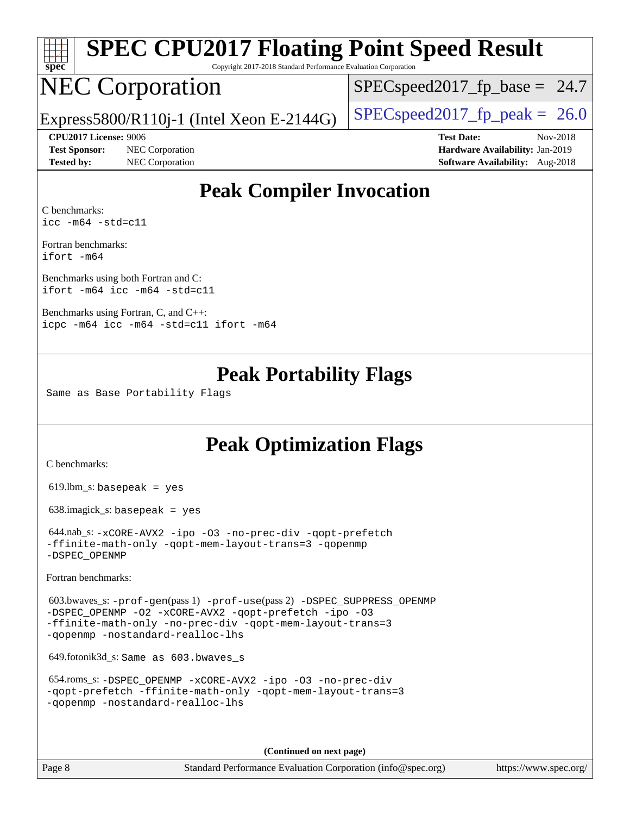| s<br>Æ<br>U<br>Ľ |  |  |  |  |
|------------------|--|--|--|--|

# **[SPEC CPU2017 Floating Point Speed Result](http://www.spec.org/auto/cpu2017/Docs/result-fields.html#SPECCPU2017FloatingPointSpeedResult)**

Copyright 2017-2018 Standard Performance Evaluation Corporation

# NEC Corporation

 $SPECspeed2017<sub>fp</sub> base = 24.7$ 

Express5800/R110j-1 (Intel Xeon E-2144G)  $\left|$  [SPECspeed2017\\_fp\\_peak =](http://www.spec.org/auto/cpu2017/Docs/result-fields.html#SPECspeed2017fppeak) 26.0

**[Test Sponsor:](http://www.spec.org/auto/cpu2017/Docs/result-fields.html#TestSponsor)** NEC Corporation **[Hardware Availability:](http://www.spec.org/auto/cpu2017/Docs/result-fields.html#HardwareAvailability)** Jan-2019 **[Tested by:](http://www.spec.org/auto/cpu2017/Docs/result-fields.html#Testedby)** NEC Corporation **[Software Availability:](http://www.spec.org/auto/cpu2017/Docs/result-fields.html#SoftwareAvailability)** Aug-2018

**[CPU2017 License:](http://www.spec.org/auto/cpu2017/Docs/result-fields.html#CPU2017License)** 9006 **[Test Date:](http://www.spec.org/auto/cpu2017/Docs/result-fields.html#TestDate)** Nov-2018

## **[Peak Compiler Invocation](http://www.spec.org/auto/cpu2017/Docs/result-fields.html#PeakCompilerInvocation)**

[C benchmarks](http://www.spec.org/auto/cpu2017/Docs/result-fields.html#Cbenchmarks): [icc -m64 -std=c11](http://www.spec.org/cpu2017/results/res2018q4/cpu2017-20181210-10060.flags.html#user_CCpeak_intel_icc_64bit_c11_33ee0cdaae7deeeab2a9725423ba97205ce30f63b9926c2519791662299b76a0318f32ddfffdc46587804de3178b4f9328c46fa7c2b0cd779d7a61945c91cd35)

[Fortran benchmarks](http://www.spec.org/auto/cpu2017/Docs/result-fields.html#Fortranbenchmarks): [ifort -m64](http://www.spec.org/cpu2017/results/res2018q4/cpu2017-20181210-10060.flags.html#user_FCpeak_intel_ifort_64bit_24f2bb282fbaeffd6157abe4f878425411749daecae9a33200eee2bee2fe76f3b89351d69a8130dd5949958ce389cf37ff59a95e7a40d588e8d3a57e0c3fd751)

[Benchmarks using both Fortran and C](http://www.spec.org/auto/cpu2017/Docs/result-fields.html#BenchmarksusingbothFortranandC): [ifort -m64](http://www.spec.org/cpu2017/results/res2018q4/cpu2017-20181210-10060.flags.html#user_CC_FCpeak_intel_ifort_64bit_24f2bb282fbaeffd6157abe4f878425411749daecae9a33200eee2bee2fe76f3b89351d69a8130dd5949958ce389cf37ff59a95e7a40d588e8d3a57e0c3fd751) [icc -m64 -std=c11](http://www.spec.org/cpu2017/results/res2018q4/cpu2017-20181210-10060.flags.html#user_CC_FCpeak_intel_icc_64bit_c11_33ee0cdaae7deeeab2a9725423ba97205ce30f63b9926c2519791662299b76a0318f32ddfffdc46587804de3178b4f9328c46fa7c2b0cd779d7a61945c91cd35)

[Benchmarks using Fortran, C, and C++:](http://www.spec.org/auto/cpu2017/Docs/result-fields.html#BenchmarksusingFortranCandCXX) [icpc -m64](http://www.spec.org/cpu2017/results/res2018q4/cpu2017-20181210-10060.flags.html#user_CC_CXX_FCpeak_intel_icpc_64bit_4ecb2543ae3f1412ef961e0650ca070fec7b7afdcd6ed48761b84423119d1bf6bdf5cad15b44d48e7256388bc77273b966e5eb805aefd121eb22e9299b2ec9d9) [icc -m64 -std=c11](http://www.spec.org/cpu2017/results/res2018q4/cpu2017-20181210-10060.flags.html#user_CC_CXX_FCpeak_intel_icc_64bit_c11_33ee0cdaae7deeeab2a9725423ba97205ce30f63b9926c2519791662299b76a0318f32ddfffdc46587804de3178b4f9328c46fa7c2b0cd779d7a61945c91cd35) [ifort -m64](http://www.spec.org/cpu2017/results/res2018q4/cpu2017-20181210-10060.flags.html#user_CC_CXX_FCpeak_intel_ifort_64bit_24f2bb282fbaeffd6157abe4f878425411749daecae9a33200eee2bee2fe76f3b89351d69a8130dd5949958ce389cf37ff59a95e7a40d588e8d3a57e0c3fd751)

## **[Peak Portability Flags](http://www.spec.org/auto/cpu2017/Docs/result-fields.html#PeakPortabilityFlags)**

Same as Base Portability Flags

## **[Peak Optimization Flags](http://www.spec.org/auto/cpu2017/Docs/result-fields.html#PeakOptimizationFlags)**

[C benchmarks](http://www.spec.org/auto/cpu2017/Docs/result-fields.html#Cbenchmarks):

 $619.$ lbm\_s: basepeak = yes

638.imagick\_s: basepeak = yes

 644.nab\_s: [-xCORE-AVX2](http://www.spec.org/cpu2017/results/res2018q4/cpu2017-20181210-10060.flags.html#user_peakCOPTIMIZE644_nab_s_f-xCORE-AVX2) [-ipo](http://www.spec.org/cpu2017/results/res2018q4/cpu2017-20181210-10060.flags.html#user_peakCOPTIMIZE644_nab_s_f-ipo) [-O3](http://www.spec.org/cpu2017/results/res2018q4/cpu2017-20181210-10060.flags.html#user_peakCOPTIMIZE644_nab_s_f-O3) [-no-prec-div](http://www.spec.org/cpu2017/results/res2018q4/cpu2017-20181210-10060.flags.html#user_peakCOPTIMIZE644_nab_s_f-no-prec-div) [-qopt-prefetch](http://www.spec.org/cpu2017/results/res2018q4/cpu2017-20181210-10060.flags.html#user_peakCOPTIMIZE644_nab_s_f-qopt-prefetch) [-ffinite-math-only](http://www.spec.org/cpu2017/results/res2018q4/cpu2017-20181210-10060.flags.html#user_peakCOPTIMIZE644_nab_s_f_finite_math_only_cb91587bd2077682c4b38af759c288ed7c732db004271a9512da14a4f8007909a5f1427ecbf1a0fb78ff2a814402c6114ac565ca162485bbcae155b5e4258871) [-qopt-mem-layout-trans=3](http://www.spec.org/cpu2017/results/res2018q4/cpu2017-20181210-10060.flags.html#user_peakCOPTIMIZE644_nab_s_f-qopt-mem-layout-trans_de80db37974c74b1f0e20d883f0b675c88c3b01e9d123adea9b28688d64333345fb62bc4a798493513fdb68f60282f9a726aa07f478b2f7113531aecce732043) [-qopenmp](http://www.spec.org/cpu2017/results/res2018q4/cpu2017-20181210-10060.flags.html#user_peakCOPTIMIZE644_nab_s_qopenmp_16be0c44f24f464004c6784a7acb94aca937f053568ce72f94b139a11c7c168634a55f6653758ddd83bcf7b8463e8028bb0b48b77bcddc6b78d5d95bb1df2967) [-DSPEC\\_OPENMP](http://www.spec.org/cpu2017/results/res2018q4/cpu2017-20181210-10060.flags.html#suite_peakCOPTIMIZE644_nab_s_DSPEC_OPENMP)

[Fortran benchmarks](http://www.spec.org/auto/cpu2017/Docs/result-fields.html#Fortranbenchmarks):

 603.bwaves\_s: [-prof-gen](http://www.spec.org/cpu2017/results/res2018q4/cpu2017-20181210-10060.flags.html#user_peakPASS1_FFLAGSPASS1_LDFLAGS603_bwaves_s_prof_gen_5aa4926d6013ddb2a31985c654b3eb18169fc0c6952a63635c234f711e6e63dd76e94ad52365559451ec499a2cdb89e4dc58ba4c67ef54ca681ffbe1461d6b36)(pass 1) [-prof-use](http://www.spec.org/cpu2017/results/res2018q4/cpu2017-20181210-10060.flags.html#user_peakPASS2_FFLAGSPASS2_LDFLAGS603_bwaves_s_prof_use_1a21ceae95f36a2b53c25747139a6c16ca95bd9def2a207b4f0849963b97e94f5260e30a0c64f4bb623698870e679ca08317ef8150905d41bd88c6f78df73f19)(pass 2) [-DSPEC\\_SUPPRESS\\_OPENMP](http://www.spec.org/cpu2017/results/res2018q4/cpu2017-20181210-10060.flags.html#suite_peakPASS1_FOPTIMIZE603_bwaves_s_DSPEC_SUPPRESS_OPENMP) [-DSPEC\\_OPENMP](http://www.spec.org/cpu2017/results/res2018q4/cpu2017-20181210-10060.flags.html#suite_peakPASS2_FOPTIMIZE603_bwaves_s_DSPEC_OPENMP) [-O2](http://www.spec.org/cpu2017/results/res2018q4/cpu2017-20181210-10060.flags.html#user_peakPASS1_FOPTIMIZE603_bwaves_s_f-O2) [-xCORE-AVX2](http://www.spec.org/cpu2017/results/res2018q4/cpu2017-20181210-10060.flags.html#user_peakPASS2_FOPTIMIZE603_bwaves_s_f-xCORE-AVX2) [-qopt-prefetch](http://www.spec.org/cpu2017/results/res2018q4/cpu2017-20181210-10060.flags.html#user_peakPASS1_FOPTIMIZEPASS2_FOPTIMIZE603_bwaves_s_f-qopt-prefetch) [-ipo](http://www.spec.org/cpu2017/results/res2018q4/cpu2017-20181210-10060.flags.html#user_peakPASS2_FOPTIMIZE603_bwaves_s_f-ipo) [-O3](http://www.spec.org/cpu2017/results/res2018q4/cpu2017-20181210-10060.flags.html#user_peakPASS2_FOPTIMIZE603_bwaves_s_f-O3) [-ffinite-math-only](http://www.spec.org/cpu2017/results/res2018q4/cpu2017-20181210-10060.flags.html#user_peakPASS1_FOPTIMIZEPASS2_FOPTIMIZE603_bwaves_s_f_finite_math_only_cb91587bd2077682c4b38af759c288ed7c732db004271a9512da14a4f8007909a5f1427ecbf1a0fb78ff2a814402c6114ac565ca162485bbcae155b5e4258871) [-no-prec-div](http://www.spec.org/cpu2017/results/res2018q4/cpu2017-20181210-10060.flags.html#user_peakPASS2_FOPTIMIZE603_bwaves_s_f-no-prec-div) [-qopt-mem-layout-trans=3](http://www.spec.org/cpu2017/results/res2018q4/cpu2017-20181210-10060.flags.html#user_peakPASS1_FOPTIMIZEPASS2_FOPTIMIZE603_bwaves_s_f-qopt-mem-layout-trans_de80db37974c74b1f0e20d883f0b675c88c3b01e9d123adea9b28688d64333345fb62bc4a798493513fdb68f60282f9a726aa07f478b2f7113531aecce732043) [-qopenmp](http://www.spec.org/cpu2017/results/res2018q4/cpu2017-20181210-10060.flags.html#user_peakPASS2_FOPTIMIZE603_bwaves_s_qopenmp_16be0c44f24f464004c6784a7acb94aca937f053568ce72f94b139a11c7c168634a55f6653758ddd83bcf7b8463e8028bb0b48b77bcddc6b78d5d95bb1df2967) [-nostandard-realloc-lhs](http://www.spec.org/cpu2017/results/res2018q4/cpu2017-20181210-10060.flags.html#user_peakEXTRA_FOPTIMIZE603_bwaves_s_f_2003_std_realloc_82b4557e90729c0f113870c07e44d33d6f5a304b4f63d4c15d2d0f1fab99f5daaed73bdb9275d9ae411527f28b936061aa8b9c8f2d63842963b95c9dd6426b8a)

649.fotonik3d\_s: Same as 603.bwaves\_s

```
 654.roms_s: -DSPEC_OPENMP -xCORE-AVX2 -ipo -O3 -no-prec-div
-qopt-prefetch -ffinite-math-only -qopt-mem-layout-trans=3
-qopenmp -nostandard-realloc-lhs
```
**(Continued on next page)**